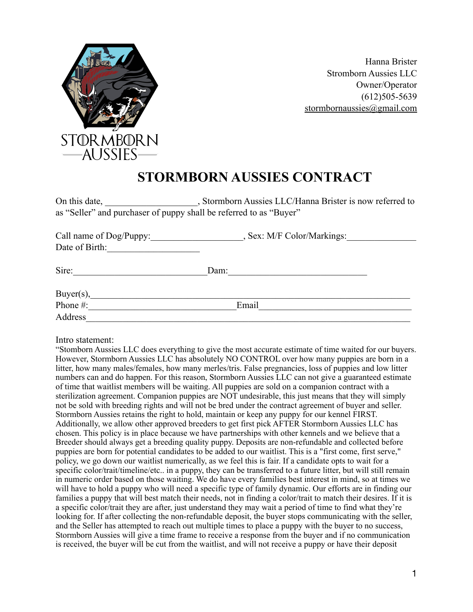

Hanna Brister Stromborn Aussies LLC Owner/Operator (612)505-5639 [stormbornaussies@gmail.com](mailto:stormbornaussies@gmail.com)

## **STORMBORN AUSSIES CONTRACT**

On this date, Stormborn Aussies LLC/Hanna Brister is now referred to as "Seller" and purchaser of puppy shall be referred to as "Buyer"

| Call name of Dog/Puppy: | , Sex: M/F Color/Markings: |
|-------------------------|----------------------------|
| Date of Birth:          |                            |
| Sire:                   | Dam:                       |
| $Buyer(s)$ ,            |                            |
| Phone #:                | Email                      |
| Address                 |                            |

Intro statement:

"Stomborn Aussies LLC does everything to give the most accurate estimate of time waited for our buyers. However, Stormborn Aussies LLC has absolutely NO CONTROL over how many puppies are born in a litter, how many males/females, how many merles/tris. False pregnancies, loss of puppies and low litter numbers can and do happen. For this reason, Stormborn Aussies LLC can not give a guaranteed estimate of time that waitlist members will be waiting. All puppies are sold on a companion contract with a sterilization agreement. Companion puppies are NOT undesirable, this just means that they will simply not be sold with breeding rights and will not be bred under the contract agreement of buyer and seller. Stormborn Aussies retains the right to hold, maintain or keep any puppy for our kennel FIRST. Additionally, we allow other approved breeders to get first pick AFTER Stormborn Aussies LLC has chosen. This policy is in place because we have partnerships with other kennels and we believe that a Breeder should always get a breeding quality puppy. Deposits are non-refundable and collected before puppies are born for potential candidates to be added to our waitlist. This is a "first come, first serve," policy, we go down our waitlist numerically, as we feel this is fair. If a candidate opts to wait for a specific color/trait/timeline/etc.. in a puppy, they can be transferred to a future litter, but will still remain in numeric order based on those waiting. We do have every families best interest in mind, so at times we will have to hold a puppy who will need a specific type of family dynamic. Our efforts are in finding our families a puppy that will best match their needs, not in finding a color/trait to match their desires. If it is a specific color/trait they are after, just understand they may wait a period of time to find what they're looking for. If after collecting the non-refundable deposit, the buyer stops communicating with the seller, and the Seller has attempted to reach out multiple times to place a puppy with the buyer to no success, Stormborn Aussies will give a time frame to receive a response from the buyer and if no communication is received, the buyer will be cut from the waitlist, and will not receive a puppy or have their deposit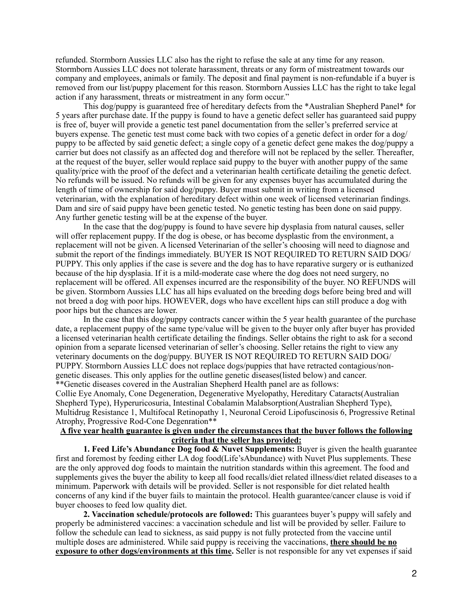refunded. Stormborn Aussies LLC also has the right to refuse the sale at any time for any reason. Stormborn Aussies LLC does not tolerate harassment, threats or any form of mistreatment towards our company and employees, animals or family. The deposit and final payment is non-refundable if a buyer is removed from our list/puppy placement for this reason. Stormborn Aussies LLC has the right to take legal action if any harassment, threats or mistreatment in any form occur."

This dog/puppy is guaranteed free of hereditary defects from the \*Australian Shepherd Panel\* for 5 years after purchase date. If the puppy is found to have a genetic defect seller has guaranteed said puppy is free of, buyer will provide a genetic test panel documentation from the seller's preferred service at buyers expense. The genetic test must come back with two copies of a genetic defect in order for a dog/ puppy to be affected by said genetic defect; a single copy of a genetic defect gene makes the dog/puppy a carrier but does not classify as an affected dog and therefore will not be replaced by the seller. Thereafter, at the request of the buyer, seller would replace said puppy to the buyer with another puppy of the same quality/price with the proof of the defect and a veterinarian health certificate detailing the genetic defect. No refunds will be issued. No refunds will be given for any expenses buyer has accumulated during the length of time of ownership for said dog/puppy. Buyer must submit in writing from a licensed veterinarian, with the explanation of hereditary defect within one week of licensed veterinarian findings. Dam and sire of said puppy have been genetic tested. No genetic testing has been done on said puppy. Any further genetic testing will be at the expense of the buyer.

In the case that the dog/puppy is found to have severe hip dysplasia from natural causes, seller will offer replacement puppy. If the dog is obese, or has become dysplastic from the environment, a replacement will not be given. A licensed Veterinarian of the seller's choosing will need to diagnose and submit the report of the findings immediately. BUYER IS NOT REQUIRED TO RETURN SAID DOG/ PUPPY. This only applies if the case is severe and the dog has to have reparative surgery or is euthanized because of the hip dysplasia. If it is a mild-moderate case where the dog does not need surgery, no replacement will be offered. All expenses incurred are the responsibility of the buyer. NO REFUNDS will be given. Stormborn Aussies LLC has all hips evaluated on the breeding dogs before being bred and will not breed a dog with poor hips. HOWEVER, dogs who have excellent hips can still produce a dog with poor hips but the chances are lower.

In the case that this dog/puppy contracts cancer within the 5 year health guarantee of the purchase date, a replacement puppy of the same type/value will be given to the buyer only after buyer has provided a licensed veterinarian health certificate detailing the findings. Seller obtains the right to ask for a second opinion from a separate licensed veterinarian of seller's choosing. Seller retains the right to view any veterinary documents on the dog/puppy. BUYER IS NOT REQUIRED TO RETURN SAID DOG/ PUPPY. Stormborn Aussies LLC does not replace dogs/puppies that have retracted contagious/nongenetic diseases. This only applies for the outline genetic diseases(listed below) and cancer. \*\*Genetic diseases covered in the Australian Shepherd Health panel are as follows: Collie Eye Anomaly, Cone Degeneration, Degenerative Myelopathy, Hereditary Cataracts(Australian Shepherd Type), Hyperuricosuria, Intestinal Cobalamin Malabsorption(Australian Shepherd Type), Multidrug Resistance 1, Multifocal Retinopathy 1, Neuronal Ceroid Lipofuscinosis 6, Progressive Retinal Atrophy, Progressive Rod-Cone Degenration\*\*

## **A five year health guarantee is given under the circumstances that the buyer follows the following criteria that the seller has provided:**

**1. Feed Life's Abundance Dog food & Nuvet Supplements:** Buyer is given the health guarantee first and foremost by feeding either LA dog food(Life'sAbundance) with Nuvet Plus supplements. These are the only approved dog foods to maintain the nutrition standards within this agreement. The food and supplements gives the buyer the ability to keep all food recalls/diet related illness/diet related diseases to a minimum. Paperwork with details will be provided. Seller is not responsible for diet related health concerns of any kind if the buyer fails to maintain the protocol. Health guarantee/cancer clause is void if buyer chooses to feed low quality diet.

**2. Vaccination schedule/protocols are followed:** This guarantees buyer's puppy will safely and properly be administered vaccines: a vaccination schedule and list will be provided by seller. Failure to follow the schedule can lead to sickness, as said puppy is not fully protected from the vaccine until multiple doses are administered. While said puppy is receiving the vaccinations, **there should be no exposure to other dogs/environments at this time.** Seller is not responsible for any vet expenses if said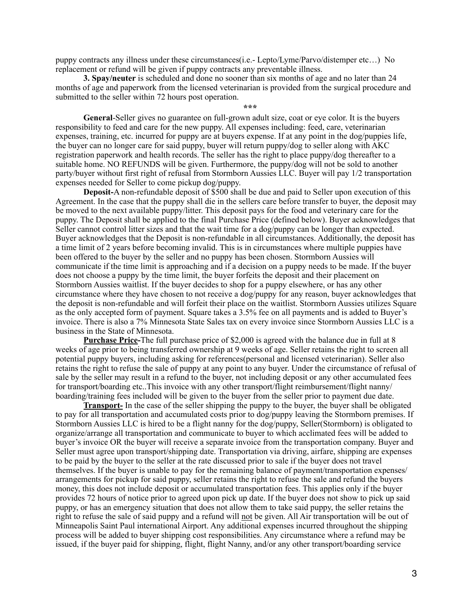puppy contracts any illness under these circumstances(i.e.- Lepto/Lyme/Parvo/distemper etc…) No replacement or refund will be given if puppy contracts any preventable illness.

**3. Spay/neuter** is scheduled and done no sooner than six months of age and no later than 24 months of age and paperwork from the licensed veterinarian is provided from the surgical procedure and submitted to the seller within 72 hours post operation.

**\*\*\***

**General**-Seller gives no guarantee on full-grown adult size, coat or eye color. It is the buyers responsibility to feed and care for the new puppy. All expenses including: feed, care, veterinarian expenses, training, etc. incurred for puppy are at buyers expense. If at any point in the dog/puppies life, the buyer can no longer care for said puppy, buyer will return puppy/dog to seller along with AKC registration paperwork and health records. The seller has the right to place puppy/dog thereafter to a suitable home. NO REFUNDS will be given. Furthermore, the puppy/dog will not be sold to another party/buyer without first right of refusal from Stormborn Aussies LLC. Buyer will pay 1/2 transportation expenses needed for Seller to come pickup dog/puppy.

**Deposit-**A non-refundable deposit of \$500 shall be due and paid to Seller upon execution of this Agreement. In the case that the puppy shall die in the sellers care before transfer to buyer, the deposit may be moved to the next available puppy/litter. This deposit pays for the food and veterinary care for the puppy. The Deposit shall be applied to the final Purchase Price (defined below). Buyer acknowledges that Seller cannot control litter sizes and that the wait time for a dog/puppy can be longer than expected. Buyer acknowledges that the Deposit is non-refundable in all circumstances. Additionally, the deposit has a time limit of 2 years before becoming invalid. This is in circumstances where multiple puppies have been offered to the buyer by the seller and no puppy has been chosen. Stormborn Aussies will communicate if the time limit is approaching and if a decision on a puppy needs to be made. If the buyer does not choose a puppy by the time limit, the buyer forfeits the deposit and their placement on Stormborn Aussies waitlist. If the buyer decides to shop for a puppy elsewhere, or has any other circumstance where they have chosen to not receive a dog/puppy for any reason, buyer acknowledges that the deposit is non-refundable and will forfeit their place on the waitlist. Stormborn Aussies utilizes Square as the only accepted form of payment. Square takes a 3.5% fee on all payments and is added to Buyer's invoice. There is also a 7% Minnesota State Sales tax on every invoice since Stormborn Aussies LLC is a business in the State of Minnesota.

**Purchase Price-**The full purchase price of \$2,000 is agreed with the balance due in full at 8 weeks of age prior to being transferred ownership at 9 weeks of age. Seller retains the right to screen all potential puppy buyers, including asking for references(personal and licensed veterinarian). Seller also retains the right to refuse the sale of puppy at any point to any buyer. Under the circumstance of refusal of sale by the seller may result in a refund to the buyer, not including deposit or any other accumulated fees for transport/boarding etc..This invoice with any other transport/flight reimbursement/flight nanny/ boarding/training fees included will be given to the buyer from the seller prior to payment due date.

**Transport-** In the case of the seller shipping the puppy to the buyer, the buyer shall be obligated to pay for all transportation and accumulated costs prior to dog/puppy leaving the Stormborn premises. If Stormborn Aussies LLC is hired to be a flight nanny for the dog/puppy, Seller(Stormborn) is obligated to organize/arrange all transportation and communicate to buyer to which acclimated fees will be added to buyer's invoice OR the buyer will receive a separate invoice from the transportation company. Buyer and Seller must agree upon transport/shipping date. Transportation via driving, airfare, shipping are expenses to be paid by the buyer to the seller at the rate discussed prior to sale if the buyer does not travel themselves. If the buyer is unable to pay for the remaining balance of payment/transportation expenses/ arrangements for pickup for said puppy, seller retains the right to refuse the sale and refund the buyers money, this does not include deposit or accumulated transportation fees. This applies only if the buyer provides 72 hours of notice prior to agreed upon pick up date. If the buyer does not show to pick up said puppy, or has an emergency situation that does not allow them to take said puppy, the seller retains the right to refuse the sale of said puppy and a refund will not be given. All Air transportation will be out of Minneapolis Saint Paul international Airport. Any additional expenses incurred throughout the shipping process will be added to buyer shipping cost responsibilities. Any circumstance where a refund may be issued, if the buyer paid for shipping, flight, flight Nanny, and/or any other transport/boarding service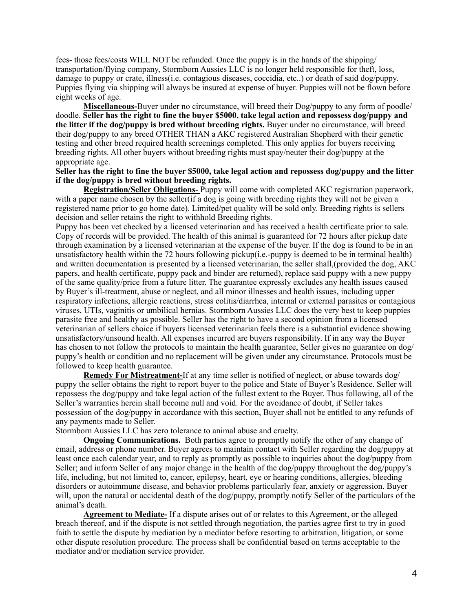fees- those fees/costs WILL NOT be refunded. Once the puppy is in the hands of the shipping/ transportation/flying company, Stormborn Aussies LLC is no longer held responsible for theft, loss, damage to puppy or crate, illness(i.e. contagious diseases, coccidia, etc..) or death of said dog/puppy. Puppies flying via shipping will always be insured at expense of buyer. Puppies will not be flown before eight weeks of age.

**Miscellaneous-**Buyer under no circumstance, will breed their Dog/puppy to any form of poodle/ doodle. **Seller has the right to fine the buyer \$5000, take legal action and repossess dog/puppy and the litter if the dog/puppy is bred without breeding rights.** Buyer under no circumstance, will breed their dog/puppy to any breed OTHER THAN a AKC registered Australian Shepherd with their genetic testing and other breed required health screenings completed. This only applies for buyers receiving breeding rights. All other buyers without breeding rights must spay/neuter their dog/puppy at the appropriate age.

## **Seller has the right to fine the buyer \$5000, take legal action and repossess dog/puppy and the litter if the dog/puppy is bred without breeding rights.**

**Registration/Seller Obligations-** Puppy will come with completed AKC registration paperwork, with a paper name chosen by the seller (if a dog is going with breeding rights they will not be given a registered name prior to go home date). Limited/pet quality will be sold only. Breeding rights is sellers decision and seller retains the right to withhold Breeding rights.

Puppy has been vet checked by a licensed veterinarian and has received a health certificate prior to sale. Copy of records will be provided. The health of this animal is guaranteed for 72 hours after pickup date through examination by a licensed veterinarian at the expense of the buyer. If the dog is found to be in an unsatisfactory health within the 72 hours following pickup(i.e.-puppy is deemed to be in terminal health) and written documentation is presented by a licensed veterinarian, the seller shall,(provided the dog, AKC papers, and health certificate, puppy pack and binder are returned), replace said puppy with a new puppy of the same quality/price from a future litter. The guarantee expressly excludes any health issues caused by Buyer's ill-treatment, abuse or neglect, and all minor illnesses and health issues, including upper respiratory infections, allergic reactions, stress colitis/diarrhea, internal or external parasites or contagious viruses, UTIs, vaginitis or umbilical hernias. Stormborn Aussies LLC does the very best to keep puppies parasite free and healthy as possible. Seller has the right to have a second opinion from a licensed veterinarian of sellers choice if buyers licensed veterinarian feels there is a substantial evidence showing unsatisfactory/unsound health. All expenses incurred are buyers responsibility. If in any way the Buyer has chosen to not follow the protocols to maintain the health guarantee, Seller gives no guarantee on dog/ puppy's health or condition and no replacement will be given under any circumstance. Protocols must be followed to keep health guarantee.

**Remedy For Mistreatment-**If at any time seller is notified of neglect, or abuse towards dog/ puppy the seller obtains the right to report buyer to the police and State of Buyer's Residence. Seller will repossess the dog/puppy and take legal action of the fullest extent to the Buyer. Thus following, all of the Seller's warranties herein shall become null and void. For the avoidance of doubt, if Seller takes possession of the dog/puppy in accordance with this section, Buyer shall not be entitled to any refunds of any payments made to Seller.

Stormborn Aussies LLC has zero tolerance to animal abuse and cruelty.

**Ongoing Communications.** Both parties agree to promptly notify the other of any change of email, address or phone number. Buyer agrees to maintain contact with Seller regarding the dog/puppy at least once each calendar year, and to reply as promptly as possible to inquiries about the dog/puppy from Seller; and inform Seller of any major change in the health of the dog/puppy throughout the dog/puppy's life, including, but not limited to, cancer, epilepsy, heart, eye or hearing conditions, allergies, bleeding disorders or autoimmune disease, and behavior problems particularly fear, anxiety or aggression. Buyer will, upon the natural or accidental death of the dog/puppy, promptly notify Seller of the particulars of the animal's death.

**Agreement to Mediate-** If a dispute arises out of or relates to this Agreement, or the alleged breach thereof, and if the dispute is not settled through negotiation, the parties agree first to try in good faith to settle the dispute by mediation by a mediator before resorting to arbitration, litigation, or some other dispute resolution procedure. The process shall be confidential based on terms acceptable to the mediator and/or mediation service provider.